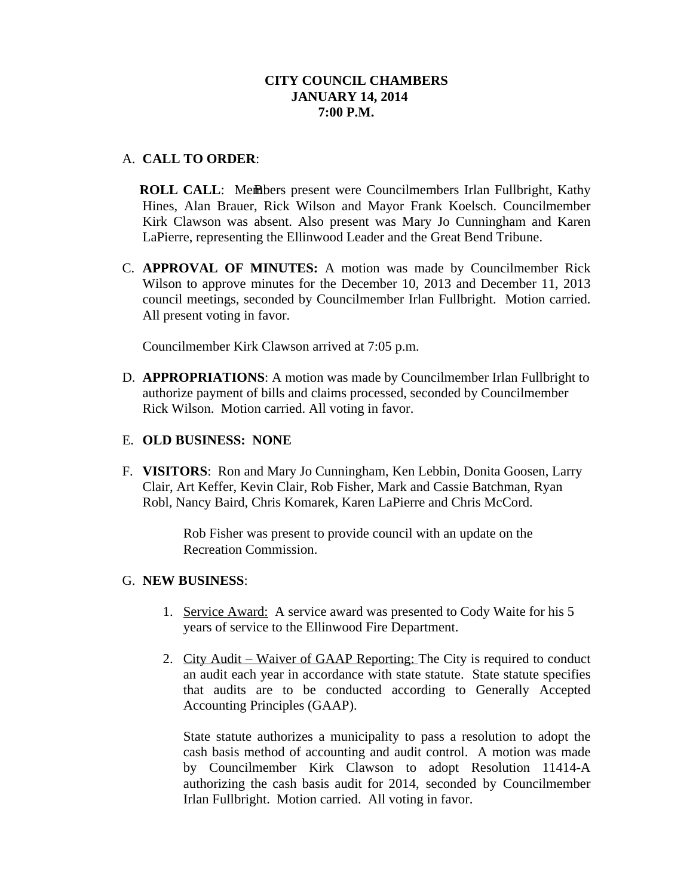## A. **CALL TO ORDER**:

**ROLL CALL:** Members present were Councilmembers Irlan Fullbright, Kathy Hines, Alan Brauer, Rick Wilson and Mayor Frank Koelsch. Councilmember Kirk Clawson was absent. Also present was Mary Jo Cunningham and Karen LaPierre, representing the Ellinwood Leader and the Great Bend Tribune.

C. **APPROVAL OF MINUTES:** A motion was made by Councilmember Rick Wilson to approve minutes for the December 10, 2013 and December 11, 2013 council meetings, seconded by Councilmember Irlan Fullbright. Motion carried. All present voting in favor.

Councilmember Kirk Clawson arrived at 7:05 p.m.

D. **APPROPRIATIONS**: A motion was made by Councilmember Irlan Fullbright to authorize payment of bills and claims processed, seconded by Councilmember Rick Wilson. Motion carried. All voting in favor.

#### E. **OLD BUSINESS: NONE**

F. **VISITORS**: Ron and Mary Jo Cunningham, Ken Lebbin, Donita Goosen, Larry Clair, Art Keffer, Kevin Clair, Rob Fisher, Mark and Cassie Batchman, Ryan Robl, Nancy Baird, Chris Komarek, Karen LaPierre and Chris McCord.

> Rob Fisher was present to provide council with an update on the Recreation Commission.

# G. **NEW BUSINESS**:

- 1. Service Award: A service award was presented to Cody Waite for his 5 years of service to the Ellinwood Fire Department.
- 2. City Audit Waiver of GAAP Reporting: The City is required to conduct an audit each year in accordance with state statute. State statute specifies that audits are to be conducted according to Generally Accepted Accounting Principles (GAAP).

State statute authorizes a municipality to pass a resolution to adopt the cash basis method of accounting and audit control. A motion was made by Councilmember Kirk Clawson to adopt Resolution 11414-A authorizing the cash basis audit for 2014, seconded by Councilmember Irlan Fullbright. Motion carried. All voting in favor.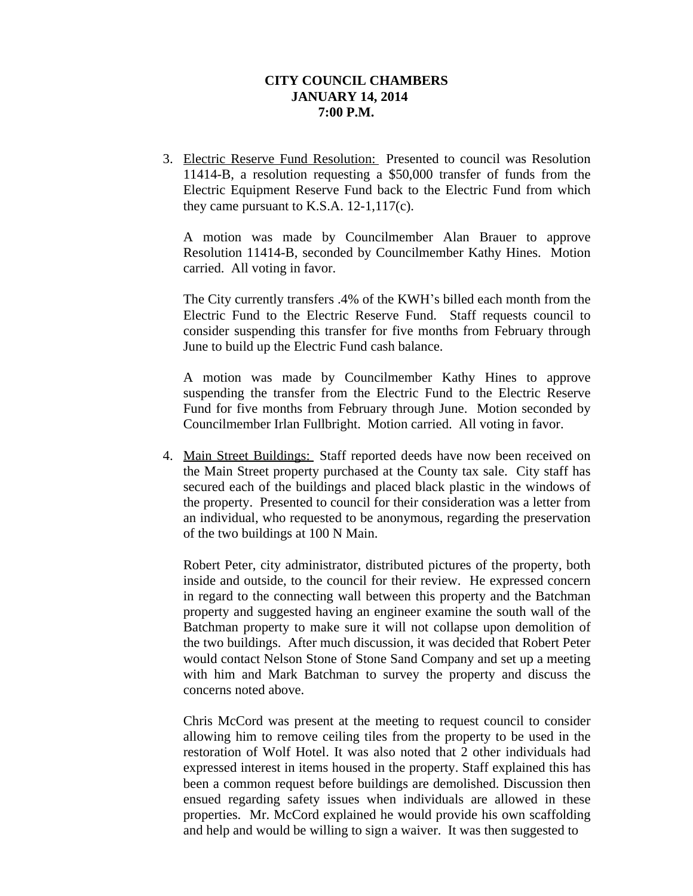3. Electric Reserve Fund Resolution: Presented to council was Resolution 11414-B, a resolution requesting a \$50,000 transfer of funds from the Electric Equipment Reserve Fund back to the Electric Fund from which they came pursuant to K.S.A. 12-1,117(c).

A motion was made by Councilmember Alan Brauer to approve Resolution 11414-B, seconded by Councilmember Kathy Hines. Motion carried. All voting in favor.

The City currently transfers .4% of the KWH's billed each month from the Electric Fund to the Electric Reserve Fund. Staff requests council to consider suspending this transfer for five months from February through June to build up the Electric Fund cash balance.

A motion was made by Councilmember Kathy Hines to approve suspending the transfer from the Electric Fund to the Electric Reserve Fund for five months from February through June. Motion seconded by Councilmember Irlan Fullbright. Motion carried. All voting in favor.

4. Main Street Buildings: Staff reported deeds have now been received on the Main Street property purchased at the County tax sale. City staff has secured each of the buildings and placed black plastic in the windows of the property. Presented to council for their consideration was a letter from an individual, who requested to be anonymous, regarding the preservation of the two buildings at 100 N Main.

Robert Peter, city administrator, distributed pictures of the property, both inside and outside, to the council for their review. He expressed concern in regard to the connecting wall between this property and the Batchman property and suggested having an engineer examine the south wall of the Batchman property to make sure it will not collapse upon demolition of the two buildings. After much discussion, it was decided that Robert Peter would contact Nelson Stone of Stone Sand Company and set up a meeting with him and Mark Batchman to survey the property and discuss the concerns noted above.

Chris McCord was present at the meeting to request council to consider allowing him to remove ceiling tiles from the property to be used in the restoration of Wolf Hotel. It was also noted that 2 other individuals had expressed interest in items housed in the property. Staff explained this has been a common request before buildings are demolished. Discussion then ensued regarding safety issues when individuals are allowed in these properties. Mr. McCord explained he would provide his own scaffolding and help and would be willing to sign a waiver. It was then suggested to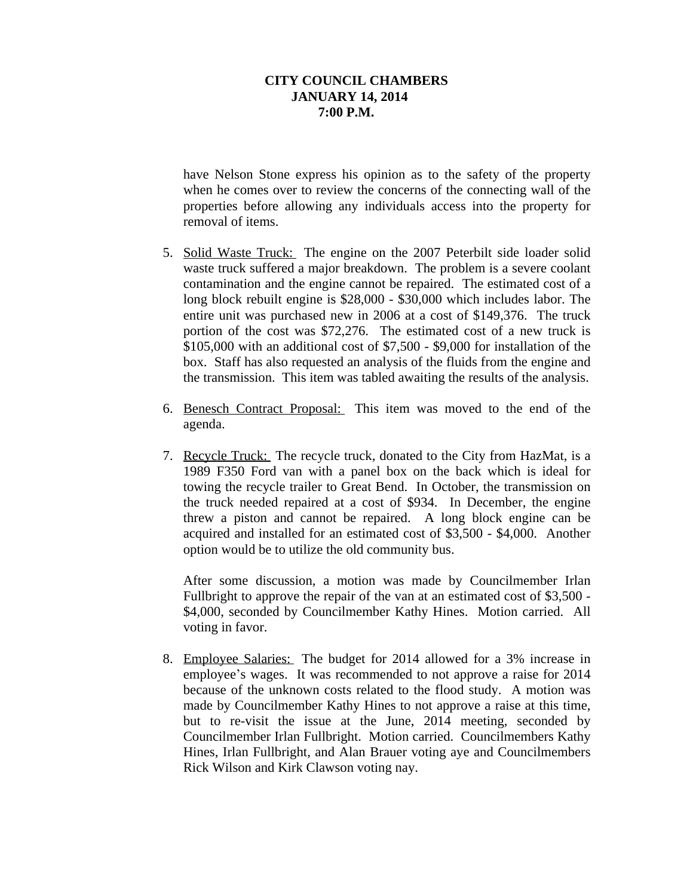have Nelson Stone express his opinion as to the safety of the property when he comes over to review the concerns of the connecting wall of the properties before allowing any individuals access into the property for removal of items.

- 5. Solid Waste Truck: The engine on the 2007 Peterbilt side loader solid waste truck suffered a major breakdown. The problem is a severe coolant contamination and the engine cannot be repaired. The estimated cost of a long block rebuilt engine is \$28,000 - \$30,000 which includes labor. The entire unit was purchased new in 2006 at a cost of \$149,376. The truck portion of the cost was \$72,276. The estimated cost of a new truck is \$105,000 with an additional cost of \$7,500 - \$9,000 for installation of the box. Staff has also requested an analysis of the fluids from the engine and the transmission. This item was tabled awaiting the results of the analysis.
- 6. Benesch Contract Proposal: This item was moved to the end of the agenda.
- 7. Recycle Truck: The recycle truck, donated to the City from HazMat, is a 1989 F350 Ford van with a panel box on the back which is ideal for towing the recycle trailer to Great Bend. In October, the transmission on the truck needed repaired at a cost of \$934. In December, the engine threw a piston and cannot be repaired. A long block engine can be acquired and installed for an estimated cost of \$3,500 - \$4,000. Another option would be to utilize the old community bus.

After some discussion, a motion was made by Councilmember Irlan Fullbright to approve the repair of the van at an estimated cost of \$3,500 - \$4,000, seconded by Councilmember Kathy Hines. Motion carried. All voting in favor.

8. Employee Salaries: The budget for 2014 allowed for a 3% increase in employee's wages. It was recommended to not approve a raise for 2014 because of the unknown costs related to the flood study. A motion was made by Councilmember Kathy Hines to not approve a raise at this time, but to re-visit the issue at the June, 2014 meeting, seconded by Councilmember Irlan Fullbright. Motion carried. Councilmembers Kathy Hines, Irlan Fullbright, and Alan Brauer voting aye and Councilmembers Rick Wilson and Kirk Clawson voting nay.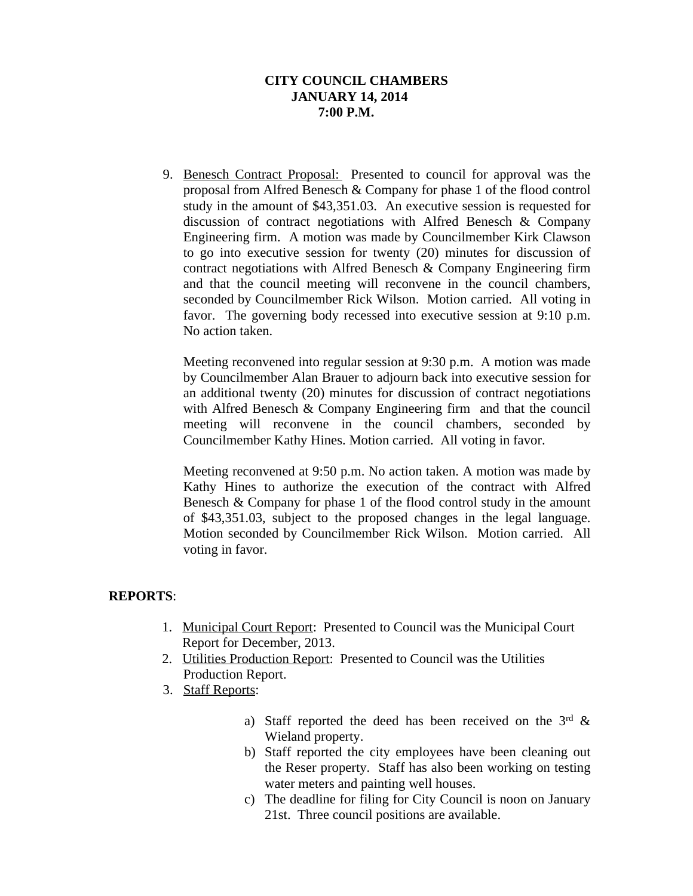9. Benesch Contract Proposal: Presented to council for approval was the proposal from Alfred Benesch & Company for phase 1 of the flood control study in the amount of \$43,351.03. An executive session is requested for discussion of contract negotiations with Alfred Benesch & Company Engineering firm. A motion was made by Councilmember Kirk Clawson to go into executive session for twenty (20) minutes for discussion of contract negotiations with Alfred Benesch & Company Engineering firm and that the council meeting will reconvene in the council chambers, seconded by Councilmember Rick Wilson. Motion carried. All voting in favor. The governing body recessed into executive session at 9:10 p.m. No action taken.

Meeting reconvened into regular session at 9:30 p.m. A motion was made by Councilmember Alan Brauer to adjourn back into executive session for an additional twenty (20) minutes for discussion of contract negotiations with Alfred Benesch & Company Engineering firm and that the council meeting will reconvene in the council chambers, seconded by Councilmember Kathy Hines. Motion carried. All voting in favor.

Meeting reconvened at 9:50 p.m. No action taken. A motion was made by Kathy Hines to authorize the execution of the contract with Alfred Benesch & Company for phase 1 of the flood control study in the amount of \$43,351.03, subject to the proposed changes in the legal language. Motion seconded by Councilmember Rick Wilson. Motion carried. All voting in favor.

# **REPORTS**:

- 1. Municipal Court Report: Presented to Council was the Municipal Court Report for December, 2013.
- 2. Utilities Production Report: Presented to Council was the Utilities Production Report.
- 3. Staff Reports:
	- a) Staff reported the deed has been received on the  $3<sup>rd</sup>$  & Wieland property.
	- b) Staff reported the city employees have been cleaning out the Reser property. Staff has also been working on testing water meters and painting well houses.
	- c) The deadline for filing for City Council is noon on January 21st. Three council positions are available.